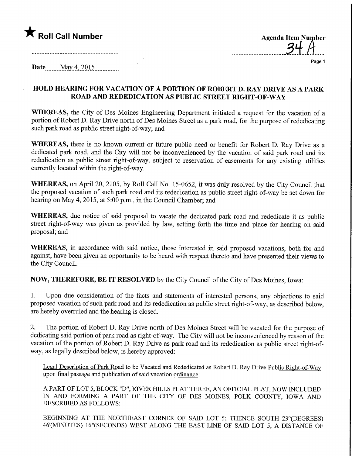## $\blacktriangledown$  Roll Call Number

| <b>Agenda Item Number</b> |
|---------------------------|
|                           |
|                           |

 $\cdots$ 

Page 1

**Date** May 4, 2015

## HOLD HEARING FOR VACATION OF A PORTION OF ROBERT D. RAY DRIVE AS A PARK ROAD AND REDEDICATION AS PUBLIC STREET RIGHT-OF-WAY

WHEREAS, the City of Des Moines Engineering Department initiated a request for the vacation of a portion of Robert D. Ray Drive north of Des Moines Street as a park road, for the purpose of rededicating such park road as public street right-of-way; and

WHEREAS, there is no known current or future public need or benefit for Robert D. Ray Drive as a dedicated park road, and the City will not be inconvenienced by the vacation of said park road and its rededication as public street right-of-way, subject to reservation of easements for any existing utilities currently located within the right-of-way.

WHEREAS, on April 20, 2105, by Roll Call No. 15-0652, it was duly resolved by the City Council that the proposed vacation of such park road and its rededication as public street right-of-way be set down for hearing on May 4, 2015, at 5:00 p.m., in the Council Chamber; and

WHEREAS, due notice of said proposal to vacate the dedicated park road and rededicate it as public street right-of-way was given as provided by law, setting forth the time and place for hearing on said proposal; and

WHEREAS, in accordance with said notice, those interested in said proposed vacations, both for and against, have been given an opportunity to be heard with respect thereto and have presented their views to the City Council.

NOW, THEREFORE, BE IT RESOLVED by the City Council of the City of Des Moines, Iowa:

1. Upon due consideration of the facts and statements of interested persons, any objections to said proposed vacation of such park road and its rededication as public street right-of-way, as described below, are hereby overruled and the hearing is closed.

2. The portion of Robert D. Ray Drive north of Des Moines Street will be vacated for the purpose of dedicating said portion of park road as right-of-way. The City will not be inconvenienced by reason of the vacation of the portion of Robert D. Ray Drive as park road and its rededication as public street right-ofway, as legally described below, is hereby approved:

Legal Description of Park Road to be Vacated and Rededicated as Robert D. Ray Drive Public Right-of-Way upon final passage and publication of said vacation ordinance:

A PART OF LOT 5, BLOCK "D", RIVER HILLS PLAT THREE, AN OFFICIAL PLAT, NOW INCLUDED IN AND FORMING A PART OF THE CITY OF DES MOINES, POLK COUNTY, IOWA AND DESCRIBED AS FOLLOWS:

BEGINNING AT THE NORTHEAST CORNER OF SAID LOT 5; THENCE SOUTH 23°(DEGREES) 46'(MINUTES) 16"(SECONDS) WEST ALONG THE EAST LINE OF SAID LOT 5, A DISTANCE OF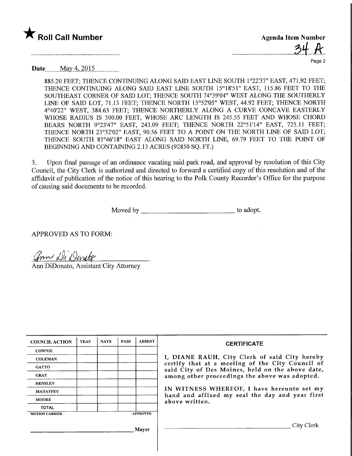## $\blacktriangledown$  Roll Call Number

Agenda Item Number  $31$ 

Page 2

Date May 4, 2015

885.20 FEET; THENCE CONTINUING ALONG SAID EAST LINE SOUTH 1°22'37" EAST, 471.92 FEET; THENCE CONTINUING ALONG SAID EAST LINE SOUTH 15°18'51" EAST, 115.86 FEET TO THE SOUTHEAST CORNER OF SAID LOT; THENCE SOUTH 74°39'04" WEST ALONG THE SOUTHERLY LINE OF SAID LOT, 71.13 FEET; THENCE NORTH 15°52'05" WEST, 44.92 FEET; THENCE NORTH 4°40'22" WEST, 384.63 FEET; THENCE NORTHERLY ALONG A CURVE CONCAVE EASTERLY WHOSE RADIUS IS 500.00 FEET, WHOSE ARC LENGTH IS 245.55 FEET AND WHOSE CHORD BEARS NORTH 9°23'47" EAST, 243.09 FEET; THENCE NORTH 22°51'14" EAST, 725.11 FEET; THENCE NORTH 23°32'02" EAST, 90.56 FEET TO A POINT ON THE NORTH LINE OF SAID LOT; THENCE SOUTH 85°46'18" EAST ALONG SAID NORTH LINE, 69.79 FEET TO THE POINT OF BEGINNING AND CONTAINING 2.13 ACRES (92850 SQ. FT.)

3. Upon final passage of an ordinance vacating said park road, and approval by resolution of this City Council, the City Clerk is authorized and directed to forward a certified copy of this resolution and of the affidavit of publication of the notice of this hearing to the Polk County Recorder's Office for the purpose of causing said documents to be recorded.

Moved by the state of the state of the state of the state of the state of the state of the state of the state of the state of the state of the state of the state of the state of the state of the state of the state of the s

APPROVED AS TO FORM:

ann Di Dansto

Ann DiDonato, Assistant City Attorney

| <b>YEAS</b> | <b>NAYS</b> | <b>PASS</b> | <b>ABSENT</b> | <b>CERTIFICATE</b>                                                                                                                                                                                      |  |  |
|-------------|-------------|-------------|---------------|---------------------------------------------------------------------------------------------------------------------------------------------------------------------------------------------------------|--|--|
|             |             |             |               |                                                                                                                                                                                                         |  |  |
|             |             |             |               | I, DIANE RAUH, City Clerk of said City hereby<br>certify that at a meeting of the City Council of<br>said City of Des Moines, held on the above date,<br>among other proceedings the above was adopted. |  |  |
|             |             |             |               |                                                                                                                                                                                                         |  |  |
|             |             |             |               |                                                                                                                                                                                                         |  |  |
|             |             |             |               |                                                                                                                                                                                                         |  |  |
|             |             |             |               | IN WITNESS WHEREOF, I have hereunto set my<br>hand and affixed my seal the day and year first                                                                                                           |  |  |
|             |             |             |               | above written.                                                                                                                                                                                          |  |  |
|             |             |             |               |                                                                                                                                                                                                         |  |  |
|             |             |             |               |                                                                                                                                                                                                         |  |  |
|             |             |             | City Clerk    |                                                                                                                                                                                                         |  |  |
|             |             |             |               | <b>APPROVED</b><br><b>Mayor</b>                                                                                                                                                                         |  |  |